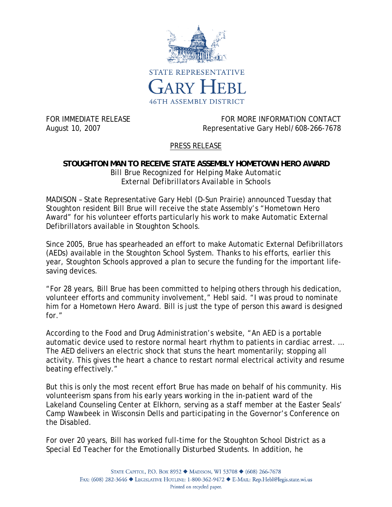

FOR IMMEDIATE RELEASE FOR MORE INFORMATION CONTACT August 10, 2007 Representative Gary Hebl/608-266-7678

## PRESS RELEASE

## **STOUGHTON MAN TO RECEIVE STATE ASSEMBLY HOMETOWN HERO AWARD**  *Bill Brue Recognized for Helping Make Automatic External Defibrillators Available in Schools*

MADISON – State Representative Gary Hebl (D-Sun Prairie) announced Tuesday that Stoughton resident Bill Brue will receive the state Assembly's "Hometown Hero Award" for his volunteer efforts particularly his work to make Automatic External Defibrillators available in Stoughton Schools.

Since 2005, Brue has spearheaded an effort to make Automatic External Defibrillators (AEDs) available in the Stoughton School System. Thanks to his efforts, earlier this year, Stoughton Schools approved a plan to secure the funding for the important lifesaving devices.

"For 28 years, Bill Brue has been committed to helping others through his dedication, volunteer efforts and community involvement," Hebl said. "I was proud to nominate him for a Hometown Hero Award. Bill is just the type of person this award is designed for."

According to the Food and Drug Administration's website, "An AED is a portable automatic device used to restore normal heart rhythm to patients in cardiac arrest. … The AED delivers an electric shock that stuns the heart momentarily; stopping all activity. This gives the heart a chance to restart normal electrical activity and resume beating effectively."

But this is only the most recent effort Brue has made on behalf of his community. His volunteerism spans from his early years working in the in-patient ward of the Lakeland Counseling Center at Elkhorn, serving as a staff member at the Easter Seals' Camp Wawbeek in Wisconsin Dells and participating in the Governor's Conference on the Disabled.

For over 20 years, Bill has worked full-time for the Stoughton School District as a Special Ed Teacher for the Emotionally Disturbed Students. In addition, he